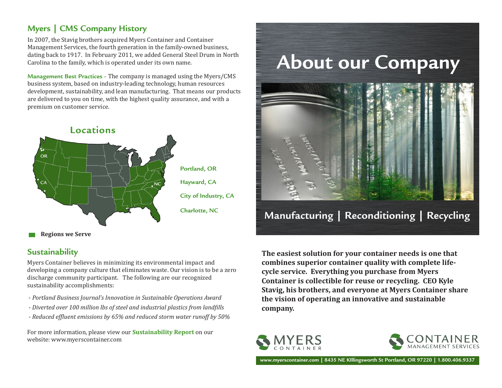#### **Myers | CMS Company History**

In 2007, the Stavig brothers acquired Myers Container and Container Management Services, the fourth generation in the family-owned business, dating back to 1917. In February 2011, we added General Steel Drum in North Carolina to the family, which is operated under its own name.

**Management Best Practices** - The company is managed using the Myers/CMS business system, based on industry-leading technology, human resources development, sustainability, and lean manufacturing. That means our products are delivered to you on time, with the highest quality assurance, and with a premium on customer service.



#### **Sustainability**

Myers Container believes in minimizing its environmental impact and developing a company culture that eliminates waste. Our vision is to be a zero discharge community participant. The following are our recognized sustainability accomplishments:

- *Portland Business Journal's Innovation in Sustainable Operations Award*
- *Diverted over 100 million lbs of steel and industrial plastics from landfills*
- *Reduced effluent emissions by 65% and reduced storm water runoff by 50%*

For more information, please view our **Sustainability Report** on our website: www.myerscontainer.com



**The easiest solution for your container needs is one that combines superior container quality with complete lifecycle service. Everything you purchase from Myers Container is collectible for reuse or recycling. CEO Kyle Stavig, his brothers, and everyone at Myers Container share the vision of operating an innovative and sustainable company.**





**www.myerscontainer.com | 8435 NE KIllingsworth St Portland, OR 97220 | 1.800.406.9337**